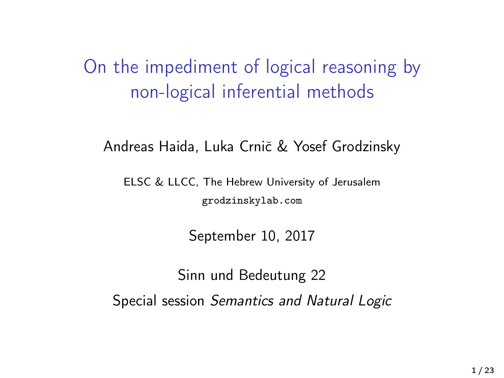<span id="page-0-0"></span>On the impediment of logical reasoning by non-logical inferential methods

Andreas Haida, Luka Crnič & Yosef Grodzinsky

ELSC & LLCC, The Hebrew University of Jerusalem grodzinskylab.com

September 10, 2017

Sinn und Bedeutung 22 Special session Semantics and Natural Logic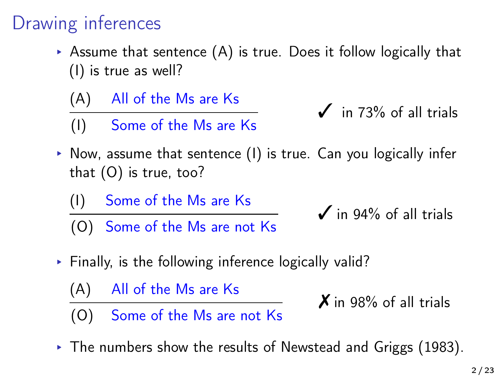## Drawing inferences

- $\triangleright$  Assume that sentence (A) is true. Does it follow logically that (I) is true as well?
	- (A) All of the Ms are Ks
	- (I) Some of the Ms are Ks
- $\checkmark$  in 73% of all trials
- ▸ Now, assume that sentence (I) is true. Can you logically infer that (O) is true, too?
	- (I) Some of the Ms are Ks
	- (O) Some of the Ms are not Ks

 $\checkmark$  in 94% of all trials

- ▸ Finally, is the following inference logically valid?
	- (A) All of the Ms are Ks

 $\boldsymbol{X}$  in 98% of all trials

- (O) Some of the Ms are not Ks
- $\triangleright$  The numbers show the results of Newstead and Griggs [\(1983\)](#page-0-0).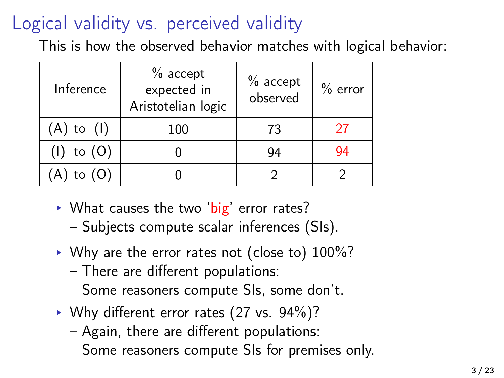# Logical validity vs. perceived validity

This is how the observed behavior matches with logical behavior:

| Inference      | $%$ accept<br>expected in<br>Aristotelian logic | $%$ accept<br>observed | $%$ error |
|----------------|-------------------------------------------------|------------------------|-----------|
| $(A)$ to $(I)$ | 100                                             | 73                     | 27        |
| $(I)$ to $(O)$ |                                                 | 94                     | 94        |
| to (O)         |                                                 |                        |           |

- ▶ What causes the two 'big' error rates?
	- Subjects compute scalar inferences (SIs).
- ▸ Why are the error rates not (close to) 100%?
	- There are different populations:

Some reasoners compute SIs, some don't.

- ▸ Why different error rates (27 vs. 94%)?
	- Again, there are different populations: Some reasoners compute SIs for premises only.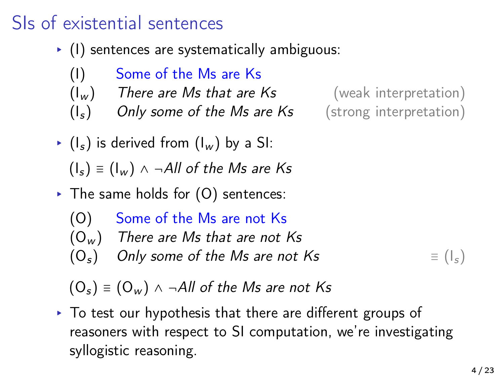#### SIs of existential sentences

- ▸ (I) sentences are systematically ambiguous:
	- (I) Some of the Ms are Ks
	- $(I_w)$  There are Ms that are Ks (weak interpretation)
	- $(I<sub>s</sub>)$  Only some of the Ms are Ks (strong interpretation)

- $\triangleright$  ( $I_s$ ) is derived from ( $I_w$ ) by a SI:  $(I_s) \equiv (I_w) \land \neg All$  of the Ms are Ks
- $\triangleright$  The same holds for  $(0)$  sentences:
	- (O) Some of the Ms are not Ks
	- $(O_w)$  There are Ms that are not Ks
	- $(O_s)$  Only some of the Ms are not Ks  $\equiv (I_s)$

 $(O_s) \equiv (O_w) \land \neg All$  of the Ms are not Ks

▸ To test our hypothesis that there are different groups of reasoners with respect to SI computation, we're investigating syllogistic reasoning.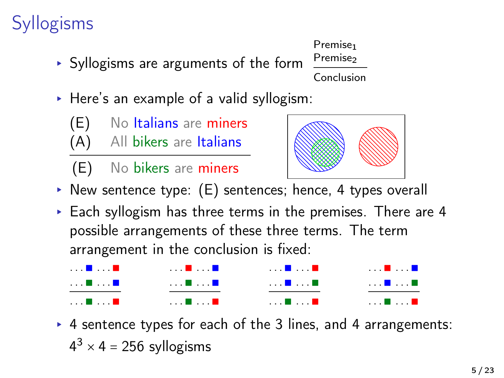## **Syllogisms**

- ▸ Syllogisms are arguments of the form
- ▸ Here's an example of a valid syllogism:
	- (E) No Italians are miners
	- (A) All bikers are Italians
	- (E) No bikers are miners
- ▸ New sentence type: (E) sentences; hence, 4 types overall
- ▸ Each syllogism has three terms in the premises. There are 4 possible arrangements of these three terms. The term arrangement in the conclusion is fixed:

▸ 4 sentence types for each of the 3 lines, and 4 arrangements:  $4^3 \times 4 = 256$  syllogisms





Premise<sub>1</sub> Premise<sub>2</sub> Conclusion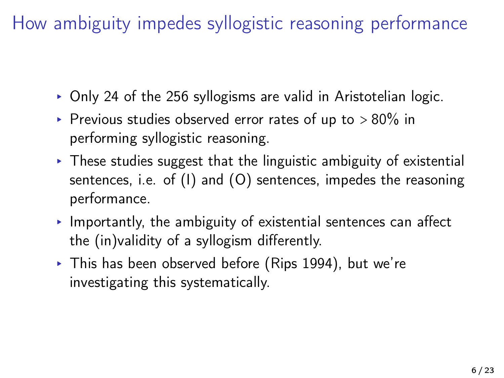How ambiguity impedes syllogistic reasoning performance

- ▸ Only 24 of the 256 syllogisms are valid in Aristotelian logic.
- Previous studies observed error rates of up to  $> 80\%$  in performing syllogistic reasoning.
- $\triangleright$  These studies suggest that the linguistic ambiguity of existential sentences, i.e. of (I) and (O) sentences, impedes the reasoning performance.
- $\triangleright$  Importantly, the ambiguity of existential sentences can affect the (in)validity of a syllogism differently.
- ▸ This has been observed before (Rips 1994), but we're investigating this systematically.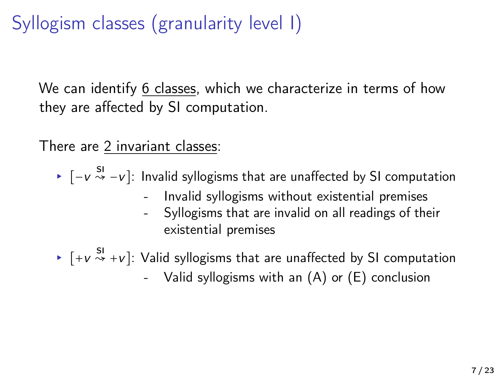# Syllogism classes (granularity level I)

We can identify 6 classes, which we characterize in terms of how they are affected by SI computation.

There are 2 invariant classes:

- ▸ [−v SI ↝ −v]: Invalid syllogisms that are unaffected by SI computation
	- Invalid syllogisms without existential premises
	- Syllogisms that are invalid on all readings of their existential premises
- $\triangleright$   $[+v \stackrel{SI}{\leadsto} +v]$ : Valid syllogisms that are unaffected by SI computation
	- Valid syllogisms with an (A) or (E) conclusion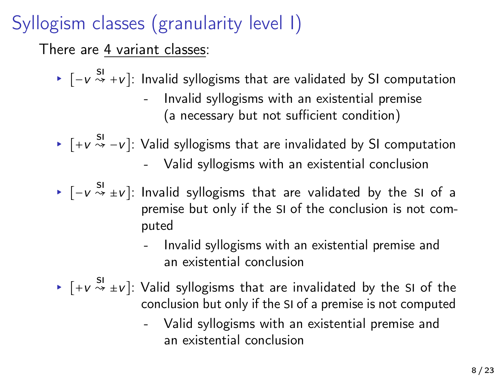# Syllogism classes (granularity level I)

There are 4 variant classes:

►  $[-v \overset{SI}{\leadsto} +v]$ : Invalid syllogisms that are validated by SI computation

- Invalid syllogisms with an existential premise (a necessary but not sufficient condition)
- ▶  $[+v \stackrel{SI}{\leadsto} -v]$ : Valid syllogisms that are invalidated by SI computation - Valid syllogisms with an existential conclusion
- ▸ [−v SI ↝ ±v]: Invalid syllogisms that are validated by the SI of a premise but only if the SI of the conclusion is not computed
	- Invalid syllogisms with an existential premise and an existential conclusion
- $\blacktriangleright$   $[ +v \overset{SI}{\leadsto} \pm v ]$ : Valid syllogisms that are invalidated by the SI of the conclusion but only if the SI of a premise is not computed
	- Valid syllogisms with an existential premise and an existential conclusion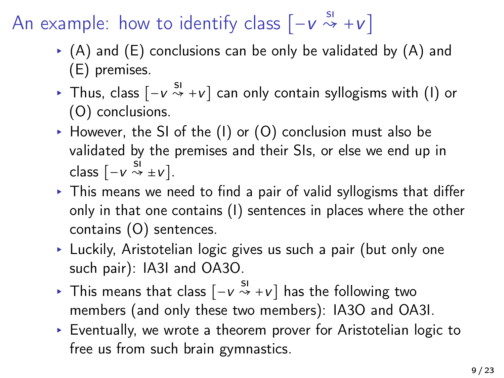# An example: how to identify class  $[-v \overset{s_1}{\leadsto} +v]$

- $\bullet$  (A) and (E) conclusions can be only be validated by (A) and (E) premises.
- ▸ Thus, class [−v SI ↝ +v] can only contain syllogisms with (I) or (O) conclusions.
- $\triangleright$  However, the SI of the (I) or (O) conclusion must also be validated by the premises and their SIs, or else we end up in class  $[-v \stackrel{SI}{\leadsto} ±v].$
- $\triangleright$  This means we need to find a pair of valid syllogisms that differ only in that one contains (I) sentences in places where the other contains (O) sentences.
- ▸ Luckily, Aristotelian logic gives us such a pair (but only one such pair): IA3I and OA3O.
- ▸ This means that class  $[-v \overset{SI}{\leadsto} +v]$  has the following two members (and only these two members): IA3O and OA3I.
- ▸ Eventually, we wrote a theorem prover for Aristotelian logic to free us from such brain gymnastics.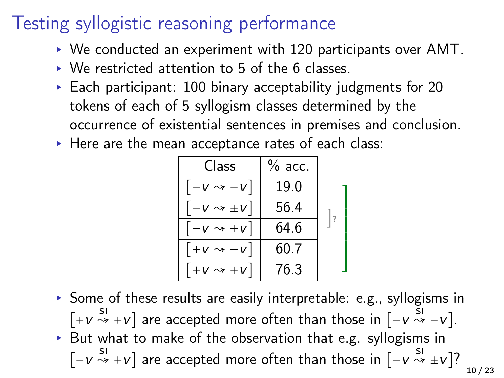## Testing syllogistic reasoning performance

- ▸ We conducted an experiment with 120 participants over AMT.
- ▸ We restricted attention to 5 of the 6 classes.
- $\triangleright$  Each participant: 100 binary acceptability judgments for 20 tokens of each of 5 syllogism classes determined by the occurrence of existential sentences in premises and conclusion.
- ▸ Here are the mean acceptance rates of each class:

| Class                         | $%$ acc. |                |
|-------------------------------|----------|----------------|
| $ -v \rightsquigarrow -v $    | 19.0     |                |
| $ -v \rightsquigarrow \pm v $ | 56.4     |                |
| $ -v \rightsquigarrow +v $    | 64.6     | $\overline{?}$ |
| $+V \rightsquigarrow -V$      | 60.7     |                |
| $ +v \leadsto +v $            | 76.3     |                |

▸ Some of these results are easily interpretable: e.g., syllogisms in  $[+v \stackrel{SI}{\leadsto} +v]$  are accepted more often than those in  $[-v \stackrel{SI}{\leadsto} -v]$ . ▸ But what to make of the observation that e.g. syllogisms in  $[-v \stackrel{SI}{\rightsquigarrow} +v]$  are accepted more often than those in  $[-v \stackrel{SI}{\rightsquigarrow} \pm v]$ ? 10 / 23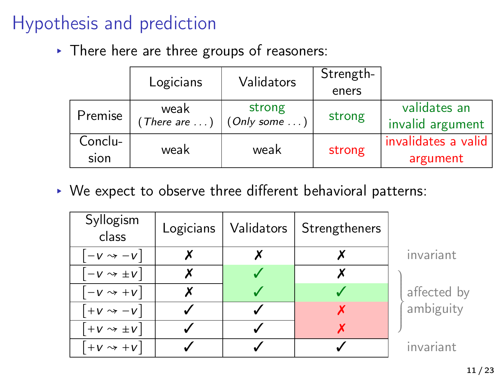# Hypothesis and prediction

▸ There here are three groups of reasoners:

| Logicians       |                               | Validators             | Strength- |                                  |
|-----------------|-------------------------------|------------------------|-----------|----------------------------------|
|                 |                               |                        | eners     |                                  |
| Premise         | weak<br>(There are $\ldots$ ) | strong<br>(Only some ) | strong    | validates an<br>invalid argument |
| Conclu-<br>sion | weak                          | weak                   | strong    | invalidates a valid<br>argument  |

▸ We expect to observe three different behavioral patterns:

| Syllogism<br>class          | Logicians | Validators | Strengtheners |             |
|-----------------------------|-----------|------------|---------------|-------------|
| $-v \rightarrow -v$         |           |            |               | invariant   |
| $-v \rightsquigarrow \pm v$ | Х         |            |               |             |
| $-v \rightsquigarrow +v$    | Х         |            |               | affected by |
| $+V \rightsquigarrow -V$    |           |            |               | ambiguity   |
| $+V \rightsquigarrow \pm V$ |           |            |               |             |
| $+V \rightarrow +V$         |           |            |               | invariant   |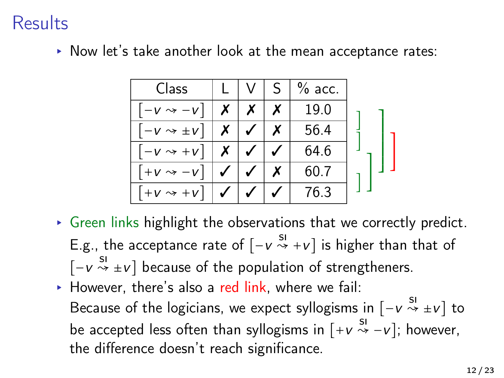#### Results

▸ Now let's take another look at the mean acceptance rates:

| Class                       |  | $%$ acc. |  |
|-----------------------------|--|----------|--|
| $-V \rightarrow -V$         |  | 19.0     |  |
| $-V \rightsquigarrow \pm V$ |  | 56.4     |  |
| $-V \rightarrow +V$         |  | 64.6     |  |
| $+V \rightsquigarrow$       |  | 60.7     |  |
| $+V \rightarrow +V$         |  | 76.3     |  |

- $\triangleright$  Green links highlight the observations that we correctly predict. E.g., the acceptance rate of  $[-v \stackrel{sI}{\leadsto} +v]$  is higher than that of  $[-v \overset{SI}{\leadsto} \pm v]$  because of the population of strengtheners.
- $\triangleright$  However, there's also a red link, where we fail: Because of the logicians, we expect syllogisms in  $[-v \overset{sl}{\leadsto} \pm v]$  to be accepted less often than syllogisms in  $[+v \stackrel{\text{SI}}{\leadsto} -v]$ ; however, the difference doesn't reach significance.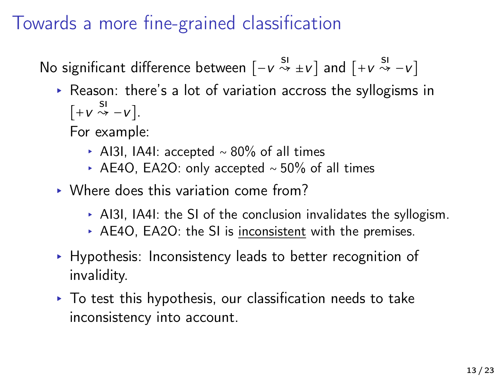## Towards a more fine-grained classification

No significant difference between  $[-v \overset{sl}{\leadsto} ±v]$  and  $[+v \overset{sl}{\leadsto} -v]$ 

▸ Reason: there's a lot of variation accross the syllogisms in  $[+v \stackrel{SI}{\leadsto} -v].$ 

For example:

- ▸ AI3I, IA4I: accepted ∼ 80% of all times
- ▸ AE4O, EA2O: only accepted ∼ 50% of all times
- ▸ Where does this variation come from?
	- $\triangleright$  AI3I, IA4I: the SI of the conclusion invalidates the syllogism.
	- ▸ AE4O, EA2O: the SI is inconsistent with the premises.
- ▸ Hypothesis: Inconsistency leads to better recognition of invalidity.
- $\triangleright$  To test this hypothesis, our classification needs to take inconsistency into account.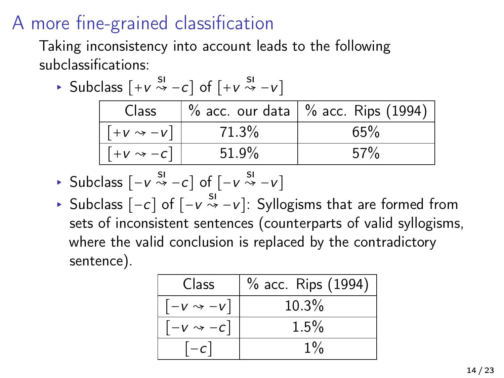## A more fine-grained classification

Taking inconsistency into account leads to the following subclassifications:

► Subclass  $[+v \stackrel{s_1}{\leadsto} -c]$  of  $[+v \stackrel{s_1}{\leadsto} -v]$ 

| Class              |       | $\frac{1}{6}$ acc. our data $\frac{1}{6}$ acc. Rips (1994) |
|--------------------|-------|------------------------------------------------------------|
| $[+v \leadsto -v]$ | 71.3% | 65%                                                        |
| $[+v \leadsto -c]$ | 51.9% | $.57\%$                                                    |

- ► Subclass  $[-v \stackrel{s_1}{\leadsto} -c]$  of  $[-v \stackrel{s_1}{\leadsto} -v]$
- ▸ Subclass  $[-c]$  of  $[-v \stackrel{s!}{\leadsto} -v]$ : Syllogisms that are formed from sets of inconsistent sentences (counterparts of valid syllogisms, where the valid conclusion is replaced by the contradictory sentence).

| Class                         | % acc. Rips (1994) |
|-------------------------------|--------------------|
| $\left[-v \leadsto -v\right]$ | 10.3%              |
| $[-v \leadsto -c]$            | 1.5%               |
| $ -c $                        | $1\%$              |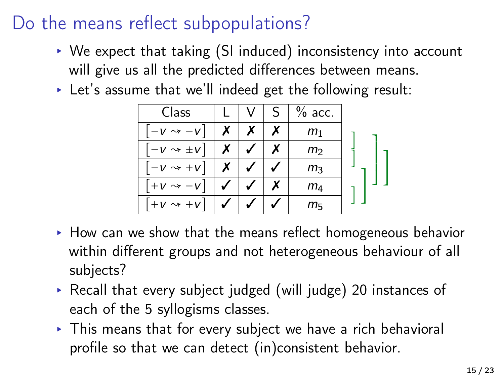### Do the means reflect subpopulations?

- ▸ We expect that taking (SI induced) inconsistency into account will give us all the predicted differences between means.
- ▸ Let's assume that we'll indeed get the following result:

| Class                       |  | $%$ acc.       |  |
|-----------------------------|--|----------------|--|
| $-V \rightarrow -V$         |  | $m_1$          |  |
| $-V \rightsquigarrow \pm V$ |  | m              |  |
| $-V \rightsquigarrow +V$    |  | $m_3$          |  |
| $+V \rightsquigarrow -V$    |  | m <sub>4</sub> |  |
| $+V \rightarrow +V$         |  | m <sub>5</sub> |  |

- ▸ How can we show that the means reflect homogeneous behavior within different groups and not heterogeneous behaviour of all subjects?
- ▸ Recall that every subject judged (will judge) 20 instances of each of the 5 syllogisms classes.
- ▸ This means that for every subject we have a rich behavioral profile so that we can detect (in)consistent behavior.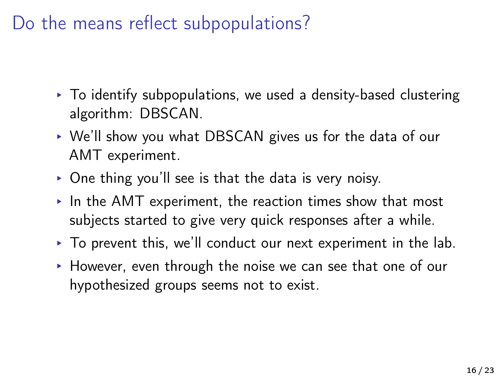#### Do the means reflect subpopulations?

- ▸ To identify subpopulations, we used a density-based clustering algorithm: DBSCAN.
- ▸ We'll show you what DBSCAN gives us for the data of our AMT experiment.
- $\triangleright$  One thing you'll see is that the data is very noisy.
- ▸ In the AMT experiment, the reaction times show that most subjects started to give very quick responses after a while.
- $\triangleright$  To prevent this, we'll conduct our next experiment in the lab.
- ▸ However, even through the noise we can see that one of our hypothesized groups seems not to exist.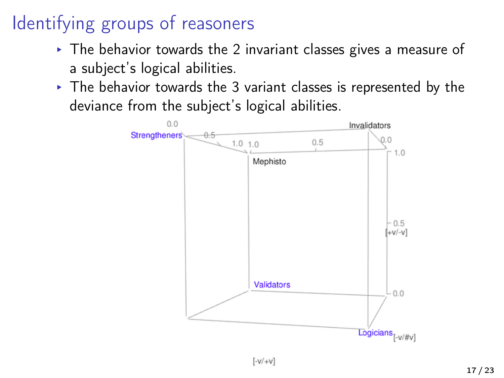# Identifying groups of reasoners

- ▸ The behavior towards the 2 invariant classes gives a measure of a subject's logical abilities.
- ▸ The behavior towards the 3 variant classes is represented by the deviance from the subject's logical abilities.



 $\left[\frac{-V}{+V}\right]$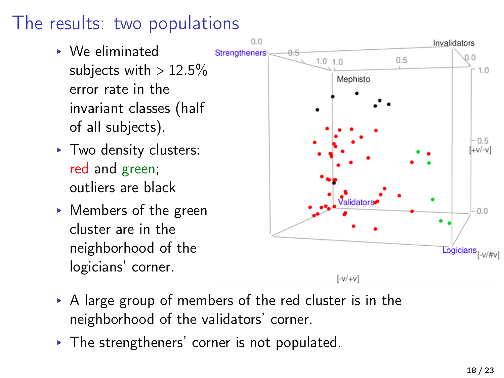#### The results: two populations

- ▸ We eliminated subjects with  $> 12.5\%$ error rate in the invariant classes (half of all subjects).
- ▸ Two density clusters: red and green; outliers are black
- ▸ Members of the green cluster are in the neighborhood of the logicians' corner.



- ▸ A large group of members of the red cluster is in the neighborhood of the validators' corner.
- ▸ The strengtheners' corner is not populated.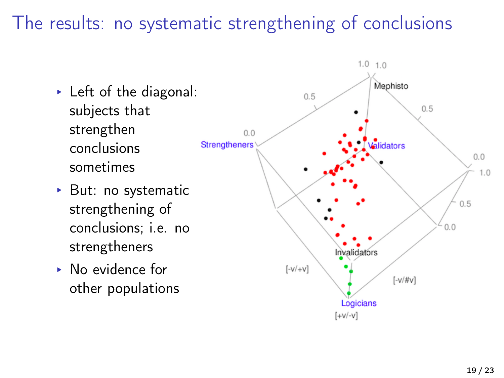#### The results: no systematic strengthening of conclusions

- ▸ Left of the diagonal: subjects that strengthen conclusions sometimes
- ▸ But: no systematic strengthening of conclusions; i.e. no strengtheners
- ▸ No evidence for other populations

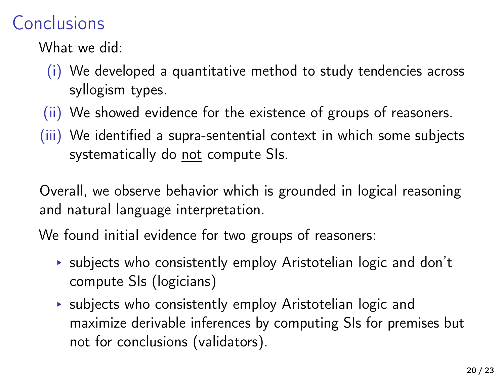## Conclusions

What we did:

- (i) We developed a quantitative method to study tendencies across syllogism types.
- (ii) We showed evidence for the existence of groups of reasoners.
- (iii) We identified a supra-sentential context in which some subjects systematically do not compute SIs.

Overall, we observe behavior which is grounded in logical reasoning and natural language interpretation.

We found initial evidence for two groups of reasoners:

- ▸ subjects who consistently employ Aristotelian logic and don't compute SIs (logicians)
- ▸ subjects who consistently employ Aristotelian logic and maximize derivable inferences by computing SIs for premises but not for conclusions (validators).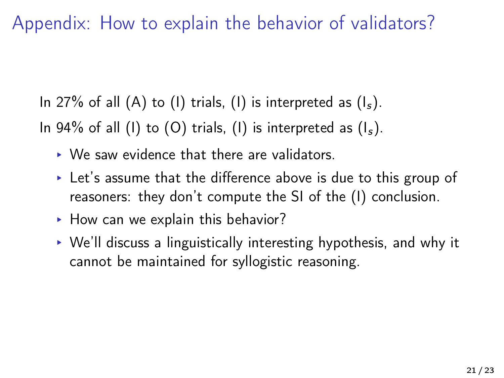Appendix: How to explain the behavior of validators?

In 27% of all  $(A)$  to  $(I)$  trials,  $(I)$  is interpreted as  $(I<sub>s</sub>)$ . In 94% of all (I) to (O) trials, (I) is interpreted as  $(I<sub>s</sub>)$ .

- ▸ We saw evidence that there are validators.
- $\triangleright$  Let's assume that the difference above is due to this group of reasoners: they don't compute the SI of the (I) conclusion.
- ▸ How can we explain this behavior?
- ▸ We'll discuss a linguistically interesting hypothesis, and why it cannot be maintained for syllogistic reasoning.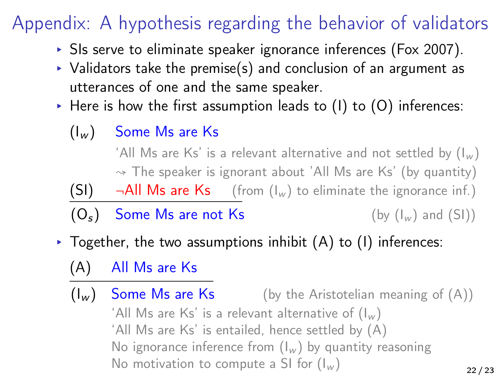# Appendix: A hypothesis regarding the behavior of validators

- ▸ SIs serve to eliminate speaker ignorance inferences (Fox [2007\)](#page-0-0).
- $\rightarrow$  Validators take the premise(s) and conclusion of an argument as utterances of one and the same speaker.
- $\triangleright$  Here is how the first assumption leads to (1) to (0) inferences:
	- $(I_w)$  Some Ms are Ks

'All Ms are Ks' is a relevant alternative and not settled by  $(I_w)$  $\sim$  The speaker is ignorant about 'All Ms are Ks' (by quantity)

 $(SI)$   $\neg$ All Ms are Ks (from  $(I_w)$  to eliminate the ignorance inf.)

 $(O_s)$  Some Ms are not Ks (by  $(I_w)$  and  $(SI)$ )

- $\triangleright$  Together, the two assumptions inhibit (A) to (I) inferences:
	- (A) All Ms are Ks
	- $(I_w)$  Some Ms are Ks (by the Aristotelian meaning of  $(A)$ ) 'All Ms are Ks' is a relevant alternative of  $(I_w)$ 'All Ms are Ks' is entailed, hence settled by (A) No ignorance inference from  $(I_w)$  by quantity reasoning No motivation to compute a SI for  $(I_w)$ 22 / 23